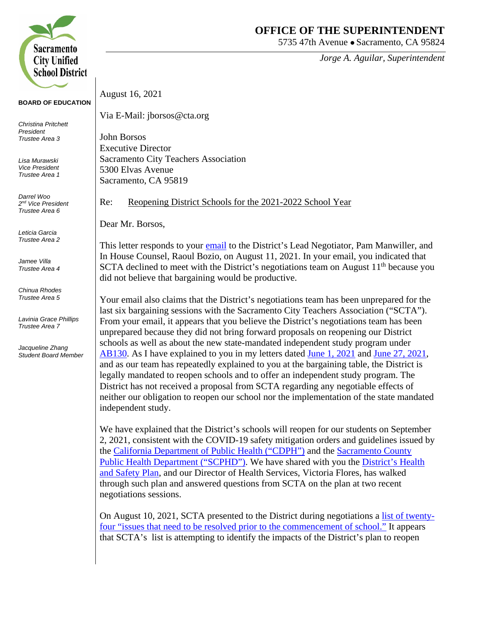

## **BOARD OF EDUCATION**

*Christina Pritchett President Trustee Area 3*

*Lisa Murawski Vice President Trustee Area 1*

*Darrel Woo 2nd Vice President Trustee Area 6*

*Leticia Garcia Trustee Area 2*

*Jamee Villa Trustee Area 4*

*Chinua Rhodes Trustee Area 5*

*Lavinia Grace Phillips Trustee Area 7*

*Jacqueline Zhang Student Board Member*

## **OFFICE OF THE SUPERINTENDENT**

5735 47th Avenue • Sacramento, CA 95824

*Jorge A. Aguilar, Superintendent*

August 16, 2021

Via E-Mail: jborsos@cta.org

John Borsos Executive Director Sacramento City Teachers Association 5300 Elvas Avenue Sacramento, CA 95819

Re: Reopening District Schools for the 2021-2022 School Year

Dear Mr. Borsos,

This letter responds to your [email](https://returntogether.scusd.edu/sites/main/files/file-attachments/email_from_john_borsos_8.11.pdf) to the District's Lead Negotiator, Pam Manwiller, and In House Counsel, Raoul Bozio, on August 11, 2021. In your email, you indicated that SCTA declined to meet with the District's negotiations team on August  $11<sup>th</sup>$  because you did not believe that bargaining would be productive.

Your email also claims that the District's negotiations team has been unprepared for the last six bargaining sessions with the Sacramento City Teachers Association ("SCTA"). From your email, it appears that you believe the District's negotiations team has been unprepared because they did not bring forward proposals on reopening our District schools as well as about the new state-mandated independent study program under [AB130.](https://leginfo.legislature.ca.gov/faces/billTextClient.xhtml?bill_id=202120220AB130) As I have explained to you in my letters dated [June 1, 2021](https://returntogether.scusd.edu/sites/main/files/file-attachments/07.01.21__letter_to_scta_regarding_returning_to_in-person_instruction_for_the_2021-2022_school_year.final_.pdf) and [June 27, 2021,](https://returntogether.scusd.edu/sites/main/files/file-attachments/d._fisher_letter_7.27.21.fall_reopening.pdf) and as our team has repeatedly explained to you at the bargaining table, the District is legally mandated to reopen schools and to offer an independent study program. The District has not received a proposal from SCTA regarding any negotiable effects of neither our obligation to reopen our school nor the implementation of the state mandated independent study.

We have explained that the District's schools will reopen for our students on September 2, 2021, consistent with the COVID-19 safety mitigation orders and guidelines issued by the [California Department of Public Health \("CDPH"\)](https://www.cdph.ca.gov/Programs/CID/DCDC/Pages/COVID-19/K-12-Guidance-2021-22-School-Year.aspx) and the [Sacramento County](https://www.saccounty.net/COVID-19/Pages/default.aspx)  [Public Health Department \("SCPHD"\).](https://www.saccounty.net/COVID-19/Pages/default.aspx) We have shared with you the [District's Health](https://returntogether.scusd.edu/return-health)  [and Safety Plan,](https://returntogether.scusd.edu/return-health) and our Director of Health Services, Victoria Flores, has walked through such plan and answered questions from SCTA on the plan at two recent negotiations sessions.

On August 10, 2021, SCTA presented to the District during negotiations a [list of twenty](https://returntogether.scusd.edu/sites/main/files/file-attachments/scta_issues_to_address_regarding_reopening_2021-22.pdf)[four "issues that need to be resolved prior to the commencement of school."](https://returntogether.scusd.edu/sites/main/files/file-attachments/scta_issues_to_address_regarding_reopening_2021-22.pdf) It appears that SCTA's list is attempting to identify the impacts of the District's plan to reopen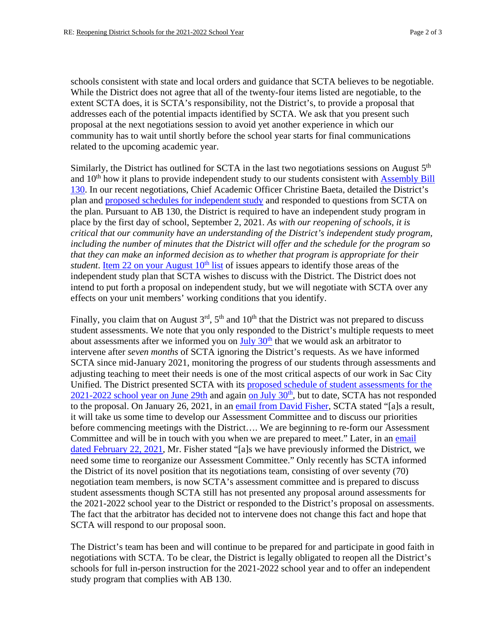schools consistent with state and local orders and guidance that SCTA believes to be negotiable. While the District does not agree that all of the twenty-four items listed are negotiable, to the extent SCTA does, it is SCTA's responsibility, not the District's, to provide a proposal that addresses each of the potential impacts identified by SCTA. We ask that you present such proposal at the next negotiations session to avoid yet another experience in which our community has to wait until shortly before the school year starts for final communications related to the upcoming academic year.

Similarly, the District has outlined for SCTA in the last two negotiations sessions on August  $5<sup>th</sup>$ and  $10<sup>th</sup>$  how it plans to provide independent study to our students consistent with Assembly Bill [130.](https://leginfo.legislature.ca.gov/faces/billTextClient.xhtml?bill_id=202120220AB130) In our recent negotiations, Chief Academic Officer Christine Baeta, detailed the District's plan and [proposed schedules for independent study](https://returntogether.scusd.edu/sites/main/files/file-attachments/sample_cap_city_schedules_-_dl_va_based.pdf) and responded to questions from SCTA on the plan. Pursuant to AB 130, the District is required to have an independent study program in place by the first day of school, September 2, 2021*. As with our reopening of schools, it is critical that our community have an understanding of the District's independent study program, including the number of minutes that the District will offer and the schedule for the program so that they can make an informed decision as to whether that program is appropriate for their student*. Item 22 on your August  $10<sup>th</sup>$  list of issues appears to identify those areas of the independent study plan that SCTA wishes to discuss with the District. The District does not intend to put forth a proposal on independent study, but we will negotiate with SCTA over any effects on your unit members' working conditions that you identify.

Finally, you claim that on August  $3<sup>rd</sup>$ ,  $5<sup>th</sup>$  and  $10<sup>th</sup>$  that the District was not prepared to discuss student assessments. We note that you only responded to the District's multiple requests to meet about assessments after we informed you on July  $30<sup>th</sup>$  that we would ask an arbitrator to intervene after *seven months* of SCTA ignoring the District's requests. As we have informed SCTA since mid-January 2021, monitoring the progress of our students through assessments and adjusting teaching to meet their needs is one of the most critical aspects of our work in Sac City Unified. The District presented SCTA with its [proposed schedule of student assessments for the](https://www.scusd.edu/sites/main/files/file-attachments/d._fisher_letter_6.29.21_common_assessments.final_.pdf?1625022568)   $2021-2022$  school year on June 29th and again on July  $30<sup>th</sup>$ , but to date, SCTA has not responded to the proposal. On January 26, 2021, in an [email from David Fisher,](https://www.scusd.edu/sites/main/files/file-attachments/email_from_david_fisher_1.26.2021_0.pdf?1629138584) SCTA stated "[a]s a result, it will take us some time to develop our Assessment Committee and to discuss our priorities before commencing meetings with the District.... We are beginning to re-form our Assessment Committee and will be in touch with you when we are prepared to meet." Later, in an email [dated February 22, 2021,](https://www.scusd.edu/sites/main/files/file-attachments/email_from_david_fisher_2.19.2021.pdf?1629138621) Mr. Fisher stated "[a]s we have previously informed the District, we need some time to reorganize our Assessment Committee." Only recently has SCTA informed the District of its novel position that its negotiations team, consisting of over seventy (70) negotiation team members, is now SCTA's assessment committee and is prepared to discuss student assessments though SCTA still has not presented any proposal around assessments for the 2021-2022 school year to the District or responded to the District's proposal on assessments. The fact that the arbitrator has decided not to intervene does not change this fact and hope that SCTA will respond to our proposal soon.

The District's team has been and will continue to be prepared for and participate in good faith in negotiations with SCTA. To be clear, the District is legally obligated to reopen all the District's schools for full in-person instruction for the 2021-2022 school year and to offer an independent study program that complies with AB 130.